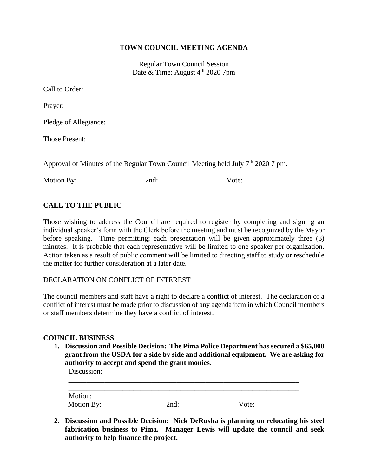## **TOWN COUNCIL MEETING AGENDA**

Regular Town Council Session Date & Time: August  $4<sup>th</sup>$  2020 7pm

| Call to Order:                                                                     |       |
|------------------------------------------------------------------------------------|-------|
| Prayer:                                                                            |       |
| Pledge of Allegiance:                                                              |       |
| <b>Those Present:</b>                                                              |       |
| Approval of Minutes of the Regular Town Council Meeting held July $7th$ 2020 7 pm. |       |
| Motion By: ___________________                                                     | Vote: |

# **CALL TO THE PUBLIC**

Those wishing to address the Council are required to register by completing and signing an individual speaker's form with the Clerk before the meeting and must be recognized by the Mayor before speaking. Time permitting; each presentation will be given approximately three (3) minutes. It is probable that each representative will be limited to one speaker per organization. Action taken as a result of public comment will be limited to directing staff to study or reschedule the matter for further consideration at a later date.

DECLARATION ON CONFLICT OF INTEREST

The council members and staff have a right to declare a conflict of interest. The declaration of a conflict of interest must be made prior to discussion of any agenda item in which Council members or staff members determine they have a conflict of interest.

#### **COUNCIL BUSINESS**

**1. Discussion and Possible Decision: The Pima Police Department has secured a \$65,000 grant from the USDA for a side by side and additional equipment. We are asking for authority to accept and spend the grant monies**.

| Discussion: |      |       |  |
|-------------|------|-------|--|
|             |      |       |  |
| Motion:     |      |       |  |
| Motion By:  | 2nd: | Vote: |  |

**2. Discussion and Possible Decision: Nick DeRusha is planning on relocating his steel fabrication business to Pima. Manager Lewis will update the council and seek authority to help finance the project.**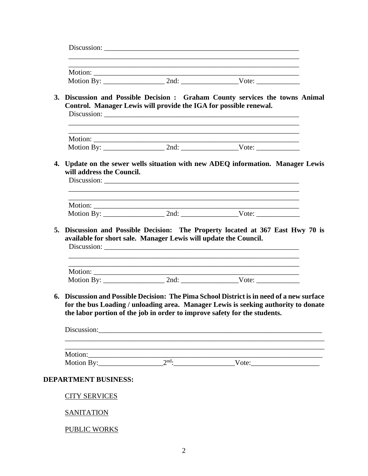|                             | Control. Manager Lewis will provide the IGA for possible renewal. | 3. Discussion and Possible Decision : Graham County services the towns Animal                                                                                                                                                                                            |
|-----------------------------|-------------------------------------------------------------------|--------------------------------------------------------------------------------------------------------------------------------------------------------------------------------------------------------------------------------------------------------------------------|
|                             |                                                                   | and the control of the control of the control of the control of the control of the control of the control of the                                                                                                                                                         |
|                             |                                                                   |                                                                                                                                                                                                                                                                          |
|                             |                                                                   |                                                                                                                                                                                                                                                                          |
|                             |                                                                   |                                                                                                                                                                                                                                                                          |
|                             |                                                                   |                                                                                                                                                                                                                                                                          |
|                             | available for short sale. Manager Lewis will update the Council.  | Discussion and Possible Decision: The Property located at 367 East Hwy 70 is                                                                                                                                                                                             |
|                             |                                                                   |                                                                                                                                                                                                                                                                          |
|                             |                                                                   |                                                                                                                                                                                                                                                                          |
|                             |                                                                   | Discussion and Possible Decision: The Pima School District is in need of a new surface<br>for the bus Loading / unloading area. Manager Lewis is seeking authority to donate<br>the labor portion of the job in order to improve safety for the students.<br>Discussion: |
|                             |                                                                   | ,我们也不会有什么。""我们的人,我们也不会有什么?""我们的人,我们也不会有什么?""我们的人,我们也不会有什么?""我们的人,我们也不会有什么?""我们的人                                                                                                                                                                                         |
|                             |                                                                   |                                                                                                                                                                                                                                                                          |
|                             |                                                                   | Motion: 2 <sup>nd</sup> : Vote: Vote:                                                                                                                                                                                                                                    |
| <b>DEPARTMENT BUSINESS:</b> |                                                                   |                                                                                                                                                                                                                                                                          |
| <b>CITY SERVICES</b>        |                                                                   |                                                                                                                                                                                                                                                                          |
|                             |                                                                   |                                                                                                                                                                                                                                                                          |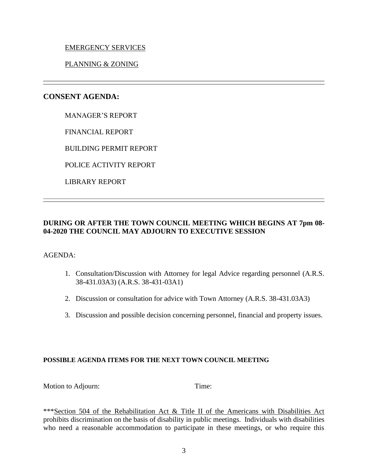## EMERGENCY SERVICES

## PLANNING & ZONING

# **CONSENT AGENDA:**

MANAGER'S REPORT

FINANCIAL REPORT

BUILDING PERMIT REPORT

POLICE ACTIVITY REPORT

LIBRARY REPORT

# **DURING OR AFTER THE TOWN COUNCIL MEETING WHICH BEGINS AT 7pm 08- 04-2020 THE COUNCIL MAY ADJOURN TO EXECUTIVE SESSION**

#### AGENDA:

- 1. Consultation/Discussion with Attorney for legal Advice regarding personnel (A.R.S. 38-431.03A3) (A.R.S. 38-431-03A1)
- 2. Discussion or consultation for advice with Town Attorney (A.R.S. 38-431.03A3)
- 3. Discussion and possible decision concerning personnel, financial and property issues.

#### **POSSIBLE AGENDA ITEMS FOR THE NEXT TOWN COUNCIL MEETING**

Motion to Adjourn: Time:

\*\*\*Section 504 of the Rehabilitation Act & Title II of the Americans with Disabilities Act prohibits discrimination on the basis of disability in public meetings. Individuals with disabilities who need a reasonable accommodation to participate in these meetings, or who require this